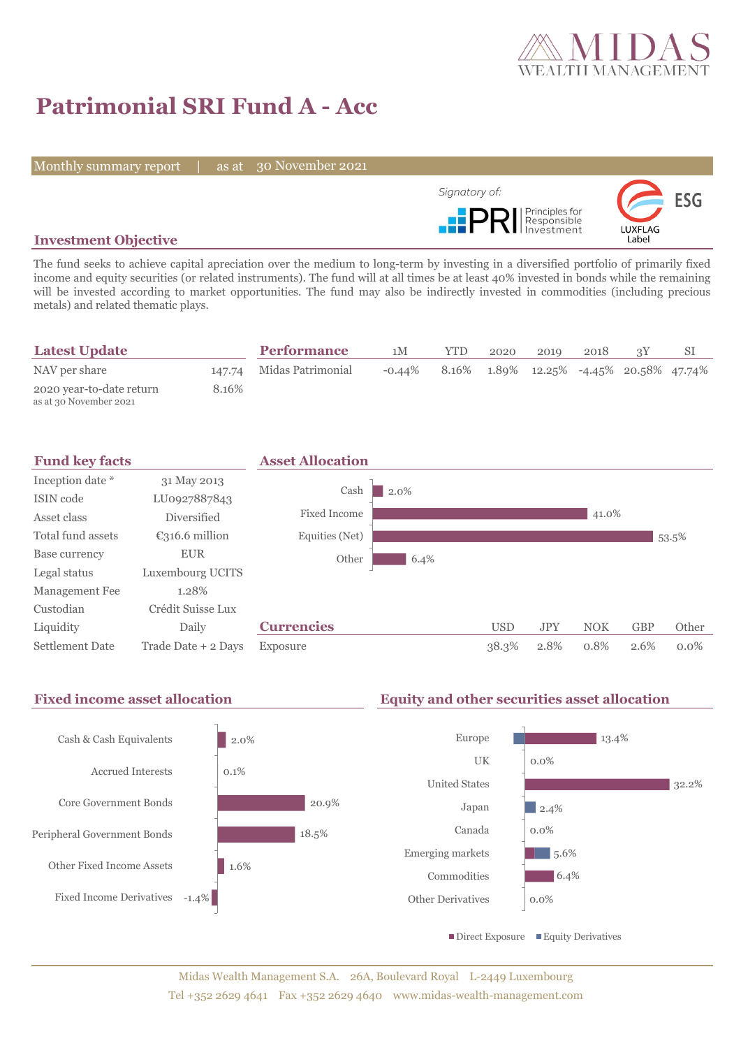

# **Patrimonial SRI Fund A - Acc**

Monthly summary report | as at 30 November 2021



## **Investment Objective**

The fund seeks to achieve capital apreciation over the medium to long-term by investing in a diversified portfolio of primarily fixed income and equity securities (or related instruments). The fund will at all times be at least 40% invested in bonds while the remaining will be invested according to market opportunities. The fund may also be indirectly invested in commodities (including precious metals) and related thematic plays.

| <b>Latest Update</b>                               |       | <b>Performance</b>       | 1M        | <b>YTD</b> | 2020 | 2019                                                      | 2018 |  |
|----------------------------------------------------|-------|--------------------------|-----------|------------|------|-----------------------------------------------------------|------|--|
| NAV per share                                      |       | 147.74 Midas Patrimonial | $-0.44\%$ |            |      | $8.16\%$ $1.89\%$ $12.25\%$ $-4.45\%$ $20.58\%$ $47.74\%$ |      |  |
| 2020 year-to-date return<br>as at 30 November 2021 | 8.16% |                          |           |            |      |                                                           |      |  |



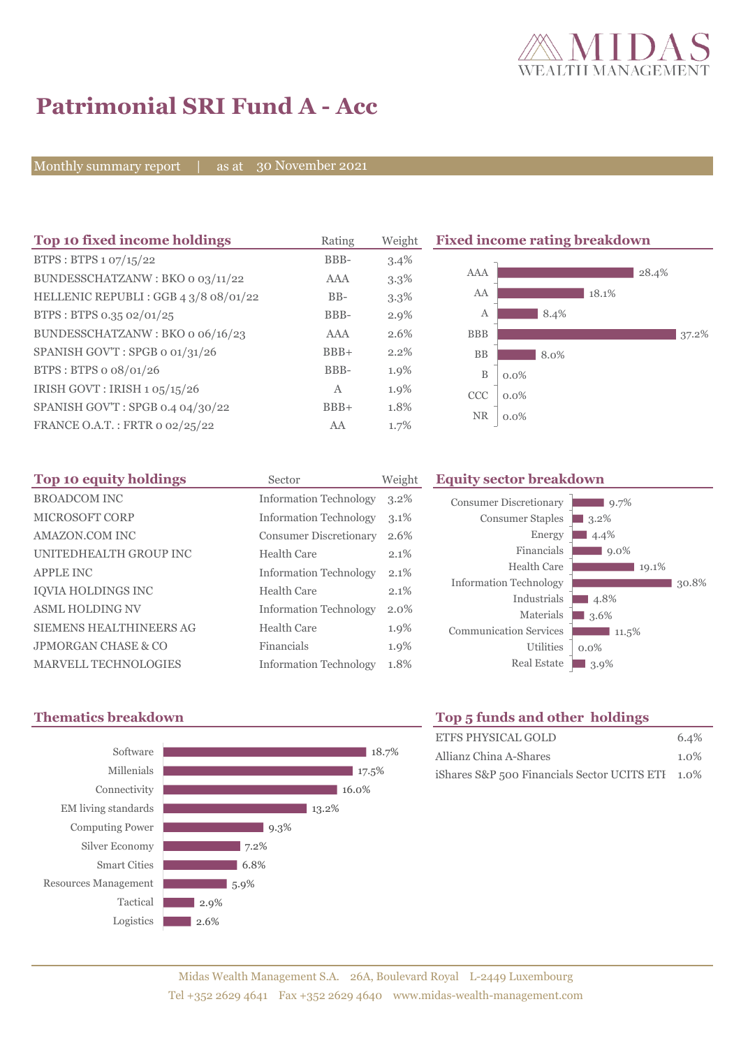

# **Patrimonial SRI Fund A - Acc**

Monthly summary report | as at 30 November 2021

| Top 10 fixed income holdings         | Rating | Weight  | <b>Fixed income rating breakdown</b> |         |  |
|--------------------------------------|--------|---------|--------------------------------------|---------|--|
| BTPS: BTPS 1 07/15/22                | BBB-   | 3.4%    |                                      |         |  |
| BUNDESSCHATZANW: BKO 0 03/11/22      | AAA    | 3.3%    | <b>AAA</b>                           | 28.4%   |  |
| HELLENIC REPUBLI: GGB 4 3/8 08/01/22 | $BB-$  | 3.3%    | AA                                   | 18.1%   |  |
| BTPS: BTPS 0.35 02/01/25             | BBB-   | $2.9\%$ | А                                    | 8.4%    |  |
| BUNDESSCHATZANW: BKO o 06/16/23      | AAA    | 2.6%    | <b>BBB</b>                           | 37.2%   |  |
| SPANISH GOV'T: SPGB o 01/31/26       | $BBB+$ | 2.2%    | <b>BB</b>                            | 8.0%    |  |
| BTPS : BTPS o $08/01/26$             | BBB-   | 1.9%    | B                                    | $0.0\%$ |  |
| IRISH GOVT : IRISH 1 05/15/26        | Α      | 1.9%    | <b>CCC</b>                           | $0.0\%$ |  |
| SPANISH GOV'T: SPGB 0.4 04/30/22     | $BBB+$ | 1.8%    |                                      |         |  |
| FRANCE O.A.T.: FRTR 0 02/25/22       | AA     | 1.7%    | <b>NR</b>                            | $0.0\%$ |  |

| Top 10 equity holdings         | Sector                        | Weight  |
|--------------------------------|-------------------------------|---------|
| <b>BROADCOM INC</b>            | <b>Information Technology</b> | $3.2\%$ |
| <b>MICROSOFT CORP</b>          | <b>Information Technology</b> | $3.1\%$ |
| AMAZON.COM INC                 | <b>Consumer Discretionary</b> | 2.6%    |
| UNITEDHEALTH GROUP INC         | Health Care                   | 2.1%    |
| <b>APPLE INC</b>               | <b>Information Technology</b> | 2.1%    |
| <b>IOVIA HOLDINGS INC</b>      | Health Care                   | 2.1%    |
| <b>ASML HOLDING NV</b>         | <b>Information Technology</b> | 2.0%    |
| <b>SIEMENS HEALTHINEERS AG</b> | Health Care                   | 1.9%    |
| JPMORGAN CHASE & CO            | Financials                    | 1.9%    |
| <b>MARVELL TECHNOLOGIES</b>    | <b>Information Technology</b> | 1.8%    |



# **Equity sector breakdown** Consumer Discretionary



## **Thematics breakdown Top 5 funds and other holdings**

| ETFS PHYSICAL GOLD                               | 6.4%    |
|--------------------------------------------------|---------|
| Allianz China A-Shares                           | $1.0\%$ |
| iShares S&P 500 Financials Sector UCITS ETI 1.0% |         |